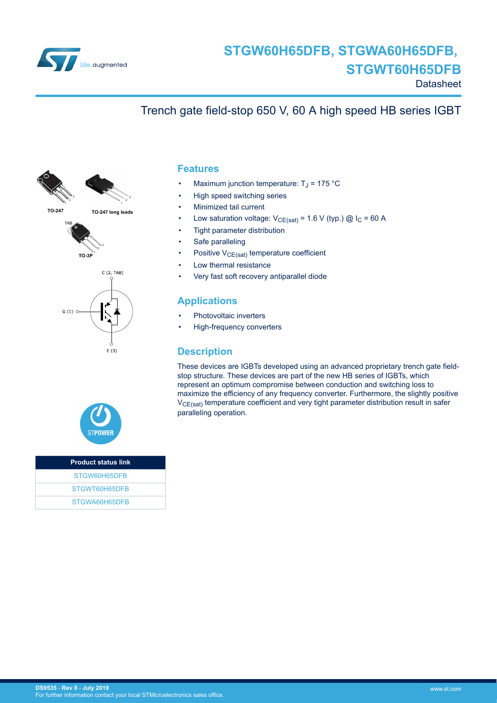

# Trench gate field-stop 650 V, 60 A high speed HB series IGBT









| <b>Product status link</b> |  |
|----------------------------|--|
| STGW60H65DFB               |  |
| STGWT60H65DFB              |  |
| STGWA60H65DFB              |  |

## **Features**

- Maximum junction temperature:  $T_J$  = 175 °C
- High speed switching series
- Minimized tail current
- Low saturation voltage:  $V_{CE(sat)} = 1.6 V$  (typ.) @  $I_C = 60 A$
- Tight parameter distribution
- Safe paralleling
- Positive  $V_{CE(sat)}$  temperature coefficient
- Low thermal resistance
- Very fast soft recovery antiparallel diode

## **Applications**

- Photovoltaic inverters
- High-frequency converters

## **Description**

These devices are IGBTs developed using an advanced proprietary trench gate fieldstop structure. These devices are part of the new HB series of IGBTs, which represent an optimum compromise between conduction and switching loss to maximize the efficiency of any frequency converter. Furthermore, the slightly positive  $V_{CE(sat)}$  temperature coefficient and very tight parameter distribution result in safer paralleling operation.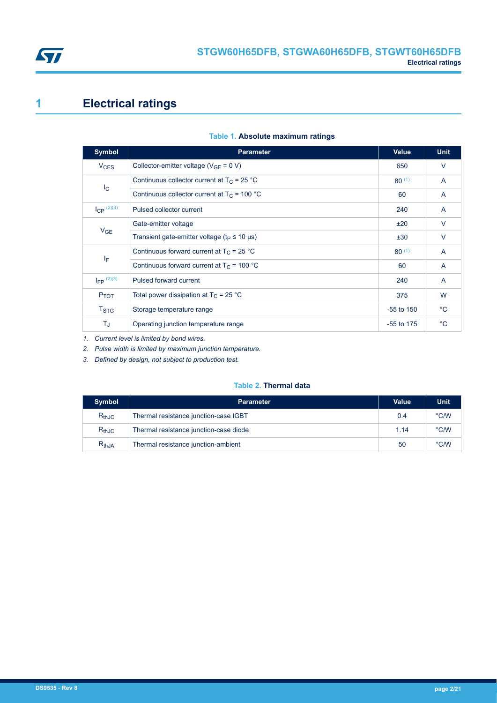<span id="page-1-0"></span>

# **1 Electrical ratings**

| <b>Symbol</b>      | <b>Parameter</b>                                                    | Value        | <b>Unit</b>    |
|--------------------|---------------------------------------------------------------------|--------------|----------------|
| $V_{CES}$          | Collector-emitter voltage ( $V_{GF} = 0 V$ )                        | 650          | $\vee$         |
| $I_{\rm C}$        | Continuous collector current at $T_C = 25$ °C                       |              | $\mathsf{A}$   |
|                    | Continuous collector current at $T_C = 100 °C$                      | 60           | A              |
| $I_{CP}$ (2)(3)    | Pulsed collector current                                            | 240          | A              |
|                    | Gate-emitter voltage                                                | ±20          | $\vee$         |
|                    | $V_{GE}$<br>Transient gate-emitter voltage ( $t_P \le 10 \,\mu s$ ) |              | $\vee$         |
| ΙF                 | Continuous forward current at $T_C = 25 °C$                         | $80^{(1)}$   | $\overline{A}$ |
|                    | Continuous forward current at $T_c$ = 100 °C                        | 60           | $\mathsf{A}$   |
| $I_{FP}$ (2)(3)    | Pulsed forward current                                              | 240          | $\mathsf{A}$   |
| $P_{TOT}$          | Total power dissipation at $T_C = 25 °C$                            | 375          | W              |
| $T_{\mathrm{STG}}$ | Storage temperature range                                           | $-55$ to 150 | $^{\circ}C$    |
| ΤJ                 | Operating junction temperature range                                | $-55$ to 175 | $^{\circ}C$    |

### **Table 1. Absolute maximum ratings**

*1. Current level is limited by bond wires.*

*2. Pulse width is limited by maximum junction temperature.*

*3. Defined by design, not subject to production test.*

## **Table 2. Thermal data**

| <b>Symbol</b> | <b>Parameter</b>                       | <b>Value</b> | <b>Unit</b> |
|---------------|----------------------------------------|--------------|-------------|
| $R_{thJC}$    | Thermal resistance junction-case IGBT  | 0.4          | °C/W        |
| $R_{th,IC}$   | Thermal resistance junction-case diode | 1.14         | °C/W        |
| $R_{th,JA}$   | Thermal resistance junction-ambient    | 50           | °C/W        |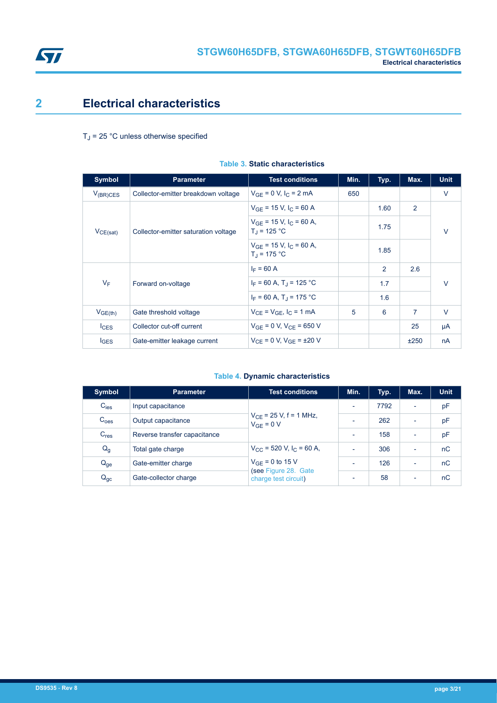<span id="page-2-0"></span>

# **2 Electrical characteristics**

### $T_J$  = 25 °C unless otherwise specified

| <b>Symbol</b>    | <b>Parameter</b>                                 | <b>Test conditions</b>                                      | Min. | Typ.           | Max.           | <b>Unit</b> |
|------------------|--------------------------------------------------|-------------------------------------------------------------|------|----------------|----------------|-------------|
| $V_{(BR)CES}$    | Collector-emitter breakdown voltage              | $V_{GF} = 0 V, I_C = 2 mA$                                  | 650  |                |                | V           |
|                  |                                                  | $V_{GF}$ = 15 V, I <sub>C</sub> = 60 A                      |      | 1.60           | $\overline{2}$ |             |
| $V_{CE(sat)}$    | Collector-emitter saturation voltage             | $V_{GF}$ = 15 V, I <sub>C</sub> = 60 A,<br>$T_{d}$ = 125 °C |      | 1.75           |                | V           |
|                  | $V_{GE}$ = 15 V, $I_C$ = 60 A,<br>$T_1 = 175 °C$ |                                                             | 1.85 |                |                |             |
|                  | $V_F$<br>Forward on-voltage                      | $I_F = 60 A$                                                |      | $\overline{2}$ | 2.6            |             |
|                  |                                                  | $I_F = 60$ A, T <sub>J</sub> = 125 °C                       |      | 1.7            |                | V           |
|                  |                                                  | $I_F = 60$ A, T <sub>J</sub> = 175 °C                       |      | 1.6            |                |             |
| $V_{GE(th)}$     | Gate threshold voltage                           | $V_{CF} = V_{GF}$ , $I_C = 1$ mA                            | 5    | 6              | $\overline{7}$ | V           |
| $l_{\text{CES}}$ | Collector cut-off current                        | $V_{GF} = 0 V$ , $V_{CF} = 650 V$                           |      |                | 25             | μA          |
| <b>IGES</b>      | Gate-emitter leakage current                     | $V_{CF} = 0 V$ , $V_{GF} = \pm 20 V$                        |      |                | ±250           | nA          |

## **Table 3. Static characteristics**

### **Table 4. Dynamic characteristics**

| <b>Symbol</b>    | <b>Parameter</b>             | <b>Test conditions</b>                                               | Min.                     | Typ. | Max.                     | <b>Unit</b> |
|------------------|------------------------------|----------------------------------------------------------------------|--------------------------|------|--------------------------|-------------|
| $C_{\text{ies}}$ | Input capacitance            |                                                                      | $\overline{\phantom{0}}$ | 7792 | $\overline{\phantom{a}}$ | pF          |
| C <sub>oes</sub> | Output capacitance           | $V_{CF}$ = 25 V, f = 1 MHz,<br>$V_{GF} = 0 V$                        | $\overline{\phantom{0}}$ | 262  | $\overline{\phantom{a}}$ | pF          |
| C <sub>res</sub> | Reverse transfer capacitance |                                                                      | $\overline{\phantom{0}}$ | 158  | $\overline{\phantom{a}}$ | pF          |
| $Q_g$            | Total gate charge            | $V_{CC}$ = 520 V, I <sub>C</sub> = 60 A,                             | $\overline{\phantom{a}}$ | 306  | $\overline{\phantom{a}}$ | nC          |
| $Q_{ge}$         | Gate-emitter charge          | $V_{GF} = 0$ to 15 V<br>(see Figure 28. Gate<br>charge test circuit) | ۰                        | 126  | $\overline{\phantom{a}}$ | nC          |
| $Q_{gc}$         | Gate-collector charge        |                                                                      | $\overline{\phantom{0}}$ | 58   | $\blacksquare$           | nC          |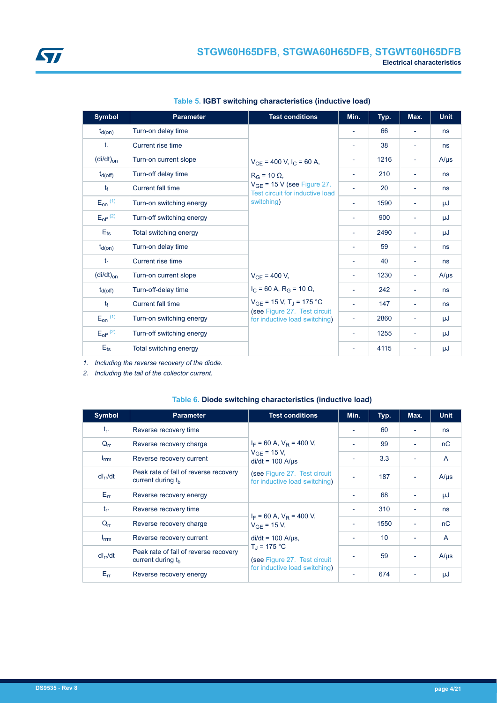| <b>Symbol</b>            | <b>Parameter</b>          | <b>Test conditions</b>                                             | Min.                     | Typ. | Max.                     | <b>Unit</b> |
|--------------------------|---------------------------|--------------------------------------------------------------------|--------------------------|------|--------------------------|-------------|
| $t_{d(on)}$              | Turn-on delay time        |                                                                    | $\overline{\phantom{a}}$ | 66   | $\overline{\phantom{a}}$ | ns          |
| $t_{r}$                  | Current rise time         |                                                                    | $\overline{\phantom{a}}$ | 38   | $\overline{\phantom{a}}$ | ns          |
| $(dil/dt)_{on}$          | Turn-on current slope     | $V_{CE}$ = 400 V, I <sub>C</sub> = 60 A,                           |                          | 1216 | $\overline{\phantom{a}}$ | $A/\mu s$   |
| $t_{d(off)}$             | Turn-off delay time       | $R_G$ = 10 $\Omega$ ,                                              | $\overline{\phantom{a}}$ | 210  | $\overline{\phantom{a}}$ | ns          |
| $t_{\rm f}$              | <b>Current fall time</b>  | $V_{GE}$ = 15 V (see Figure 27.<br>Test circuit for inductive load |                          | 20   | $\overline{\phantom{a}}$ | ns          |
| $E_{on}$ (1)             | Turn-on switching energy  | switching)                                                         |                          | 1590 |                          | μJ          |
| $E_{off}$ <sup>(2)</sup> | Turn-off switching energy |                                                                    |                          | 900  |                          | μJ          |
| $E_{\text{ts}}$          | Total switching energy    |                                                                    | ٠                        | 2490 | $\overline{\phantom{a}}$ | μJ          |
| $t_{d(on)}$              | Turn-on delay time        |                                                                    |                          | 59   | $\overline{\phantom{a}}$ | ns          |
| $t_{\sf r}$              | Current rise time         |                                                                    | $\overline{\phantom{a}}$ | 40   | $\overline{\phantom{a}}$ | ns          |
| $(di/dt)_{on}$           | Turn-on current slope     | $V_{CF}$ = 400 V,                                                  | $\overline{\phantom{a}}$ | 1230 |                          | $A/\mu s$   |
| $t_{d(off)}$             | Turn-off-delay time       | $I_C$ = 60 A, R <sub>G</sub> = 10 Ω,                               |                          | 242  |                          | ns          |
| $t_{\rm f}$              | <b>Current fall time</b>  | $V_{GE}$ = 15 V, T <sub>J</sub> = 175 °C                           |                          | 147  | $\overline{\phantom{a}}$ | ns          |
| $E_{on}$ (1)             | Turn-on switching energy  | (see Figure 27. Test circuit<br>for inductive load switching)      | $\overline{\phantom{a}}$ | 2860 | $\overline{\phantom{a}}$ | μJ          |
| $E_{off}$ <sup>(2)</sup> | Turn-off switching energy |                                                                    | $\blacksquare$           | 1255 | $\overline{\phantom{a}}$ | μJ          |
| $E_{ts}$                 | Total switching energy    |                                                                    | ۰                        | 4115 | $\overline{\phantom{a}}$ | μJ          |

| Table 5. IGBT switching characteristics (inductive load) |  |  |
|----------------------------------------------------------|--|--|
|----------------------------------------------------------|--|--|

*1. Including the reverse recovery of the diode.*

*2. Including the tail of the collector current.*

| <b>Symbol</b>    | <b>Parameter</b>                                                       | <b>Test conditions</b>                                                                                                          | Min. | Typ. | Max.                     | <b>Unit</b>    |
|------------------|------------------------------------------------------------------------|---------------------------------------------------------------------------------------------------------------------------------|------|------|--------------------------|----------------|
| $t_{rr}$         | Reverse recovery time                                                  |                                                                                                                                 | ٠    | 60   |                          | ns             |
| $Q_{rr}$         | Reverse recovery charge                                                | $I_F$ = 60 A, $V_R$ = 400 V,                                                                                                    | ٠    | 99   | $\blacksquare$           | nC             |
| $I_{\text{rrm}}$ | Reverse recovery current                                               | $V_{GF}$ = 15 V,<br>$di/dt = 100$ A/ $\mu$ s                                                                                    |      | 3.3  | $\overline{a}$           | $\overline{A}$ |
| $dl_{rr}/dt$     | Peak rate of fall of reverse recovery<br>current during t <sub>h</sub> | (see Figure 27. Test circuit<br>for inductive load switching)                                                                   |      | 187  | ٠                        | $A/\mu s$      |
| $E_{rr}$         | Reverse recovery energy                                                |                                                                                                                                 |      | 68   |                          | μJ             |
| $t_{rr}$         | Reverse recovery time                                                  |                                                                                                                                 |      | 310  | $\overline{\phantom{a}}$ | ns             |
| $Q_{rr}$         | Reverse recovery charge                                                | $I_F$ = 60 A, $V_R$ = 400 V,<br>$V_{GF}$ = 15 V,<br>$di/dt = 100$ A/ $\mu$ s,<br>$T_J = 175 °C$<br>(see Figure 27. Test circuit | ۰    | 1550 | $\overline{\phantom{a}}$ | nC             |
| $I_{\text{rrm}}$ | Reverse recovery current                                               |                                                                                                                                 |      | 10   |                          | $\overline{A}$ |
| $dl_{rr}/dt$     | Peak rate of fall of reverse recovery<br>current during t <sub>h</sub> |                                                                                                                                 |      | 59   | ٠                        | $A/\mu s$      |
| $E_{rr}$         | Reverse recovery energy                                                | for inductive load switching)                                                                                                   |      | 674  |                          | μJ             |

### **Table 6. Diode switching characteristics (inductive load)**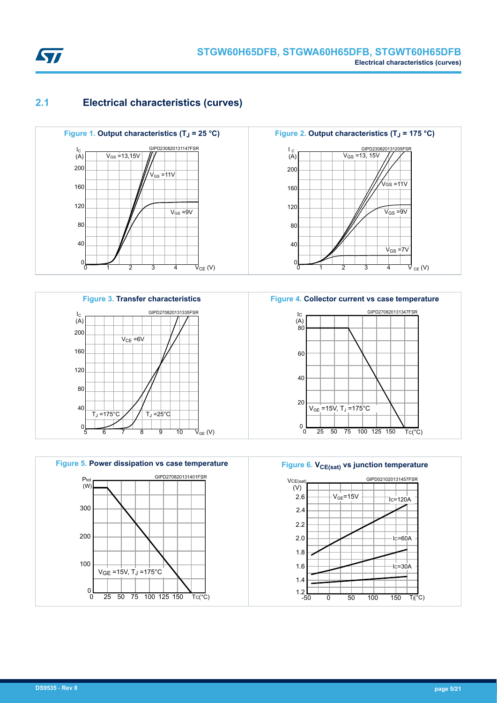<span id="page-4-0"></span>

## **2.1 Electrical characteristics (curves)**









**Figure 4. Collector current vs case temperature**



#### **Figure 6. V<sub>CE(sat)</sub> vs junction temperature**

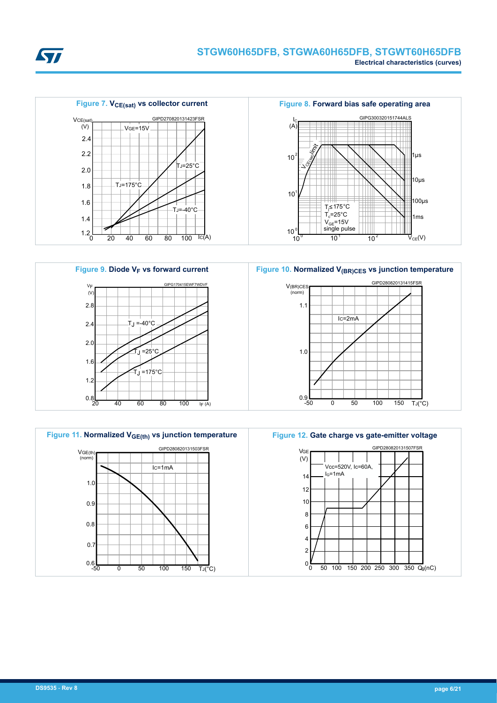





**Kyr**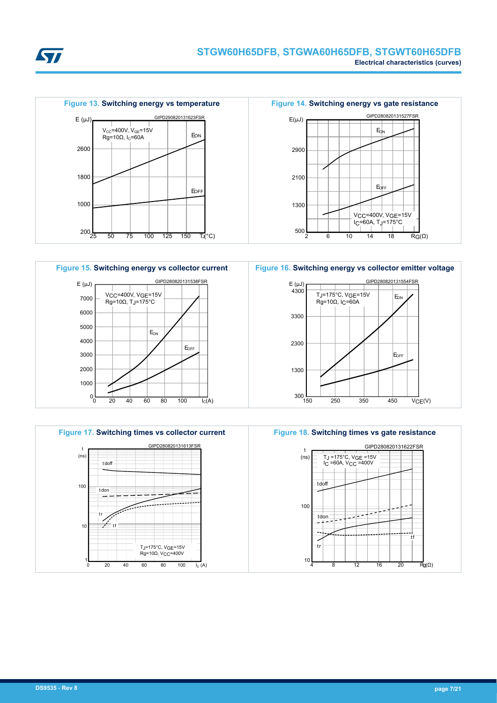





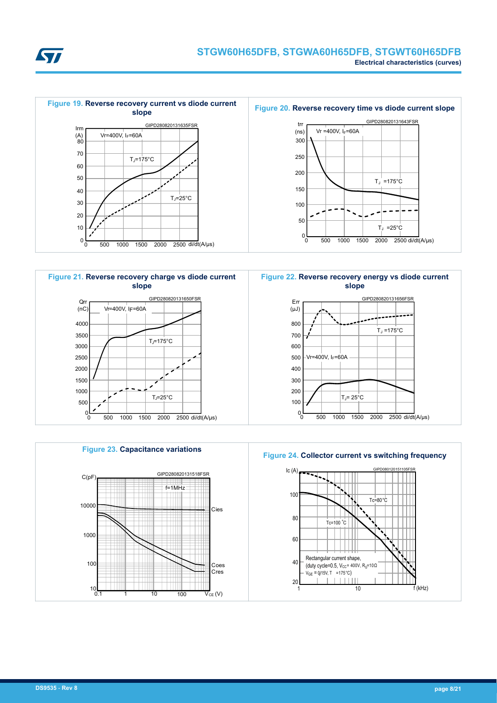









GIPD280820131656FSR

**slope**



**Figure 24. Collector current vs switching frequency**



**Kyr**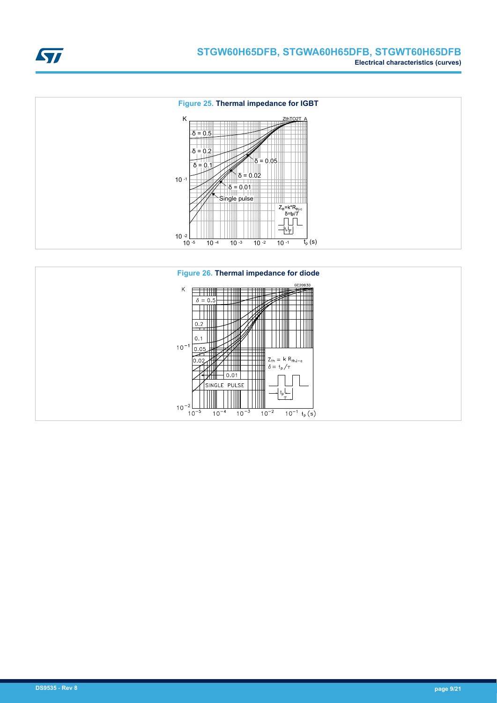



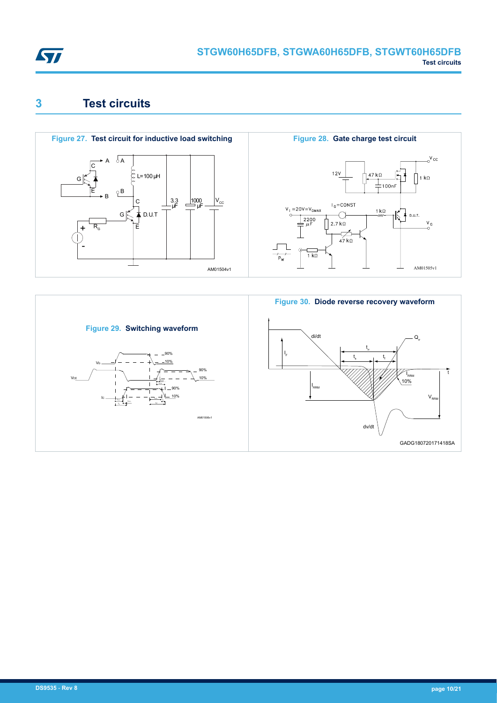<span id="page-9-0"></span>

# **3 Test circuits**



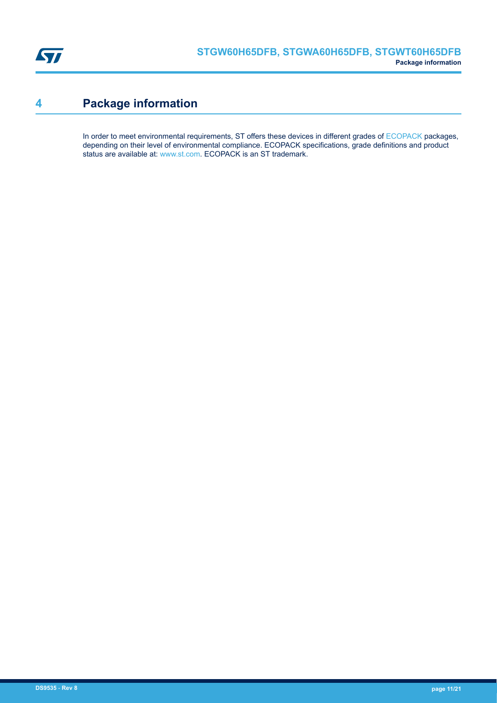<span id="page-10-0"></span>

# **4 Package information**

In order to meet environmental requirements, ST offers these devices in different grades of [ECOPACK](https://www.st.com/ecopack) packages, depending on their level of environmental compliance. ECOPACK specifications, grade definitions and product status are available at: [www.st.com.](http://www.st.com) ECOPACK is an ST trademark.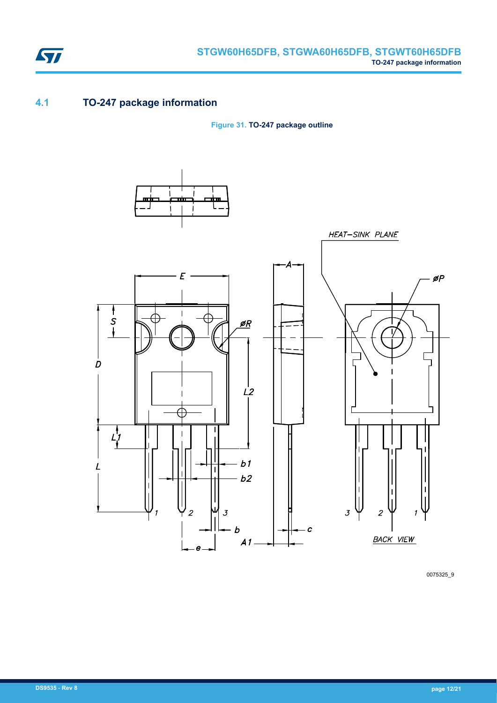

# **4.1 TO-247 package information**

**Figure 31. TO-247 package outline**



0075325\_9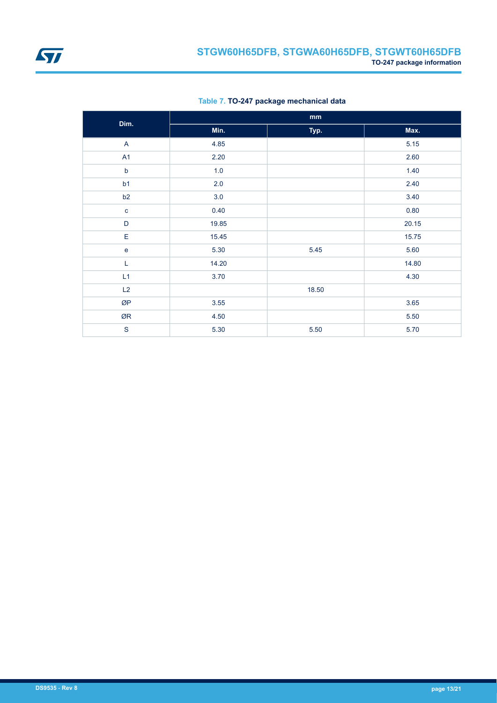<span id="page-12-0"></span>

| Dim.         |       | mm    |       |
|--------------|-------|-------|-------|
|              | Min.  | Typ.  | Max.  |
| $\mathsf{A}$ | 4.85  |       | 5.15  |
| A1           | 2.20  |       | 2.60  |
| $\mathsf b$  | 1.0   |       | 1.40  |
| b1           | 2.0   |       | 2.40  |
| b2           | 3.0   |       | 3.40  |
| $\mathbf{C}$ | 0.40  |       | 0.80  |
| D            | 19.85 |       | 20.15 |
| E            | 15.45 |       | 15.75 |
| $\mathbf e$  | 5.30  | 5.45  | 5.60  |
| L            | 14.20 |       | 14.80 |
| L1           | 3.70  |       | 4.30  |
| L2           |       | 18.50 |       |
| ØP           | 3.55  |       | 3.65  |
| ØR           | 4.50  |       | 5.50  |
| $\mathbf S$  | 5.30  | 5.50  | 5.70  |

**Table 7. TO-247 package mechanical data**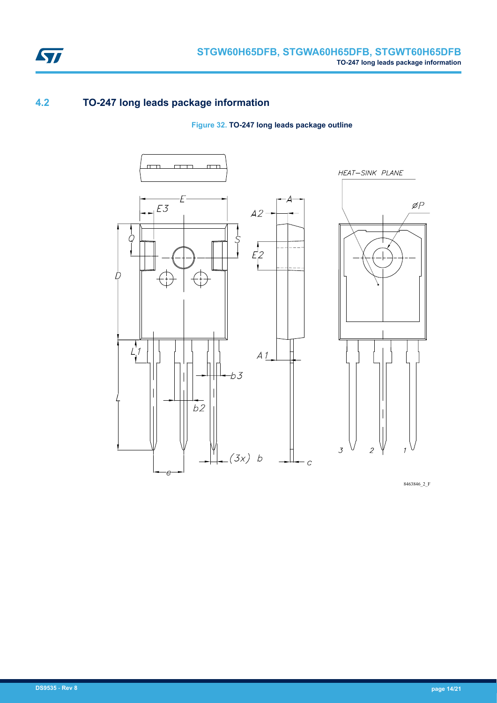

## **4.2 TO-247 long leads package information**

**Figure 32. TO-247 long leads package outline**



8463846\_2\_F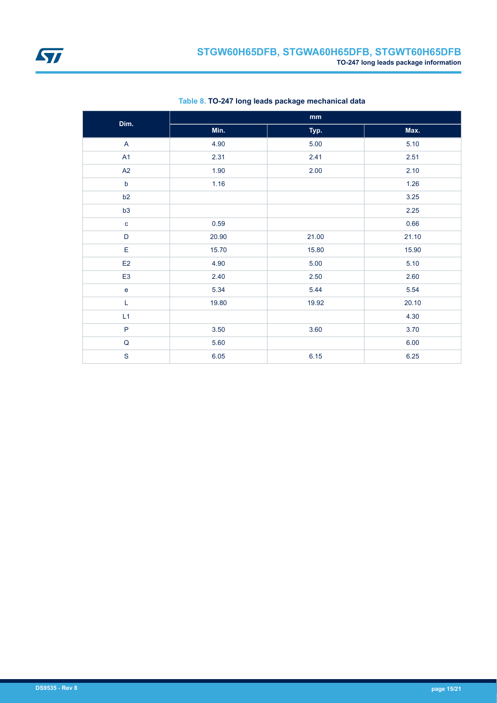<span id="page-14-0"></span>

| Dim.                                           |       | $\mathop{\text{mm}}\nolimits$ |       |
|------------------------------------------------|-------|-------------------------------|-------|
|                                                | Min.  | Typ.                          | Max.  |
| $\boldsymbol{\mathsf{A}}$                      | 4.90  | 5.00                          | 5.10  |
| A <sub>1</sub>                                 | 2.31  | 2.41                          | 2.51  |
| A2                                             | 1.90  | 2.00                          | 2.10  |
| $\mathsf b$                                    | 1.16  |                               | 1.26  |
| b2                                             |       |                               | 3.25  |
| b <sub>3</sub>                                 |       |                               | 2.25  |
| $\mathbf{C}$                                   | 0.59  |                               | 0.66  |
| D                                              | 20.90 | 21.00                         | 21.10 |
| E                                              | 15.70 | 15.80                         | 15.90 |
| E2                                             | 4.90  | 5.00                          | 5.10  |
| E <sub>3</sub>                                 | 2.40  | 2.50                          | 2.60  |
| $\mathsf{e}% _{0}\left( \mathsf{e}_{0}\right)$ | 5.34  | 5.44                          | 5.54  |
| L                                              | 19.80 | 19.92                         | 20.10 |
| L1                                             |       |                               | 4.30  |
| $\mathsf{P}$                                   | 3.50  | 3.60                          | 3.70  |
| $\sf Q$                                        | 5.60  |                               | 6.00  |
| $\mathbf S$                                    | 6.05  | 6.15                          | 6.25  |

**Table 8. TO-247 long leads package mechanical data**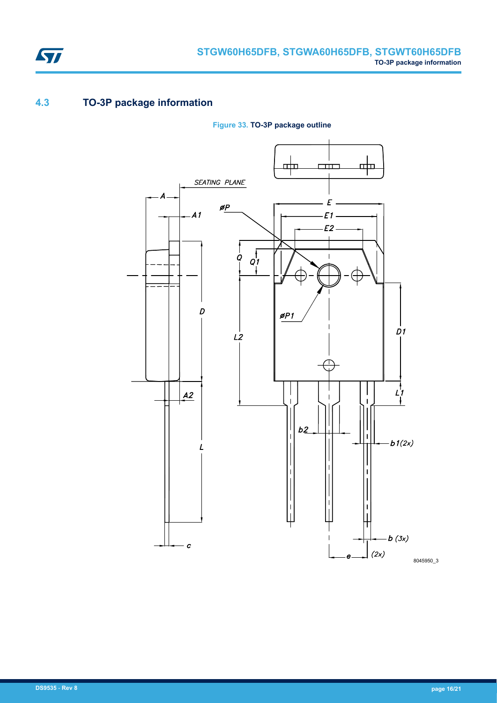

# **4.3 TO-3P package information**

ST





8045950\_3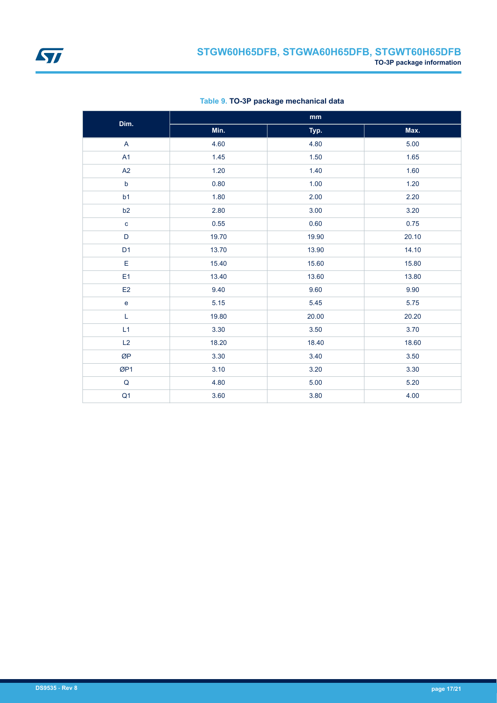

| Dim.                                       |       | $\mathop{\text{mm}}\nolimits$ |       |
|--------------------------------------------|-------|-------------------------------|-------|
|                                            | Min.  | Typ.                          | Max.  |
| A                                          | 4.60  | 4.80                          | 5.00  |
| A1                                         | 1.45  | 1.50                          | 1.65  |
| A2                                         | 1.20  | 1.40                          | 1.60  |
| $\mathsf b$                                | 0.80  | 1.00                          | 1.20  |
| b <sub>1</sub>                             | 1.80  | 2.00                          | 2.20  |
| b2                                         | 2.80  | 3.00                          | 3.20  |
| $\mathbf c$                                | 0.55  | 0.60                          | 0.75  |
| D                                          | 19.70 | 19.90                         | 20.10 |
| D <sub>1</sub>                             | 13.70 | 13.90                         | 14.10 |
| E                                          | 15.40 | 15.60                         | 15.80 |
| E <sub>1</sub>                             | 13.40 | 13.60                         | 13.80 |
| E2                                         | 9.40  | 9.60                          | 9.90  |
| $\mathsf{e}% _{0}\left( \mathsf{e}\right)$ | 5.15  | 5.45                          | 5.75  |
| L                                          | 19.80 | 20.00                         | 20.20 |
| L1                                         | 3.30  | 3.50                          | 3.70  |
| L2                                         | 18.20 | 18.40                         | 18.60 |
| ØP                                         | 3.30  | 3.40                          | 3.50  |
| ØP1                                        | 3.10  | 3.20                          | 3.30  |
| ${\sf Q}$                                  | 4.80  | 5.00                          | 5.20  |
| Q <sub>1</sub>                             | 3.60  | 3.80                          | 4.00  |

**Table 9. TO-3P package mechanical data**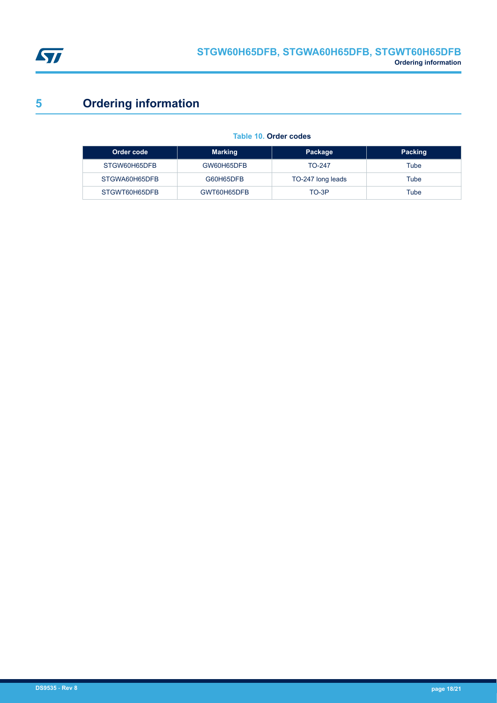<span id="page-17-0"></span>

# **5 Ordering information**

## **Table 10. Order codes**

| Order code    | <b>Marking</b> | Package           | Packing |
|---------------|----------------|-------------------|---------|
| STGW60H65DFB  | GW60H65DFB     | TO-247            | Tube    |
| STGWA60H65DFB | G60H65DFB      | TO-247 long leads | Tube    |
| STGWT60H65DFB | GWT60H65DFB    | TO-3P             | Tube    |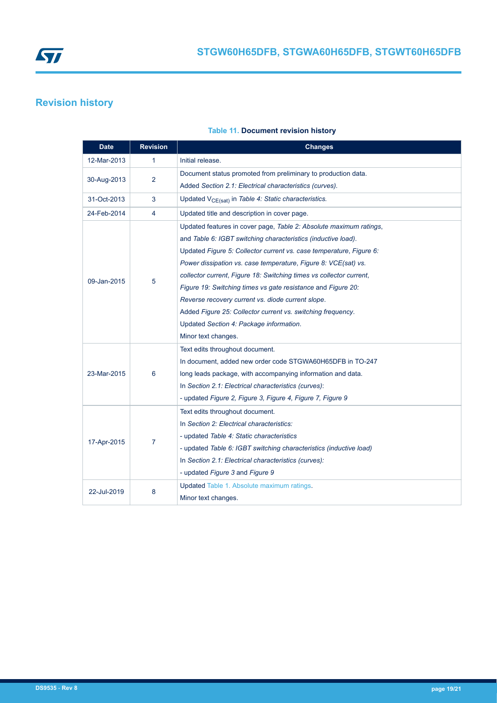<span id="page-18-0"></span>

# **Revision history**

|  | <b>Table 11. Document revision history</b> |
|--|--------------------------------------------|
|--|--------------------------------------------|

| <b>Date</b> | <b>Revision</b> | <b>Changes</b>                                                      |
|-------------|-----------------|---------------------------------------------------------------------|
| 12-Mar-2013 | 1.              | Initial release.                                                    |
| 30-Aug-2013 | 2               | Document status promoted from preliminary to production data.       |
|             |                 | Added Section 2.1: Electrical characteristics (curves).             |
| 31-Oct-2013 | 3               | Updated $V_{CE(sat)}$ in Table 4: Static characteristics.           |
| 24-Feb-2014 | 4               | Updated title and description in cover page.                        |
|             | 5               | Updated features in cover page, Table 2: Absolute maximum ratings,  |
|             |                 | and Table 6: IGBT switching characteristics (inductive load).       |
|             |                 | Updated Figure 5: Collector current vs. case temperature, Figure 6: |
|             |                 | Power dissipation vs. case temperature, Figure 8: VCE(sat) vs.      |
| 09-Jan-2015 |                 | collector current, Figure 18: Switching times vs collector current, |
|             |                 | Figure 19: Switching times vs gate resistance and Figure 20:        |
|             |                 | Reverse recovery current vs. diode current slope.                   |
|             |                 | Added Figure 25: Collector current vs. switching frequency.         |
|             |                 | Updated Section 4: Package information.                             |
|             |                 | Minor text changes.                                                 |
| 23-Mar-2015 | 6               | Text edits throughout document.                                     |
|             |                 | In document, added new order code STGWA60H65DFB in TO-247           |
|             |                 | long leads package, with accompanying information and data.         |
|             |                 | In Section 2.1: Electrical characteristics (curves):                |
|             |                 | - updated Figure 2, Figure 3, Figure 4, Figure 7, Figure 9          |
|             | 7               | Text edits throughout document.                                     |
|             |                 | In Section 2: Electrical characteristics:                           |
|             |                 | - updated Table 4: Static characteristics                           |
| 17-Apr-2015 |                 | - updated Table 6: IGBT switching characteristics (inductive load)  |
|             |                 | In Section 2.1: Electrical characteristics (curves):                |
|             |                 | - updated Figure 3 and Figure 9                                     |
|             | 8               | Updated Table 1. Absolute maximum ratings.                          |
| 22-Jul-2019 |                 | Minor text changes.                                                 |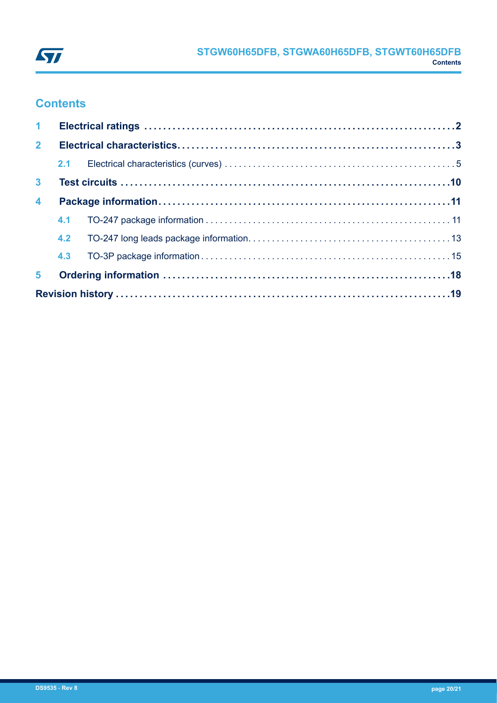

# **Contents**

| 1 <sup>1</sup>          |  |  |  |  |  |
|-------------------------|--|--|--|--|--|
| 2 <sup>7</sup>          |  |  |  |  |  |
|                         |  |  |  |  |  |
| 3 <sup>1</sup>          |  |  |  |  |  |
| $\overline{\mathbf{4}}$ |  |  |  |  |  |
|                         |  |  |  |  |  |
|                         |  |  |  |  |  |
|                         |  |  |  |  |  |
| 5 <sup>1</sup>          |  |  |  |  |  |
|                         |  |  |  |  |  |